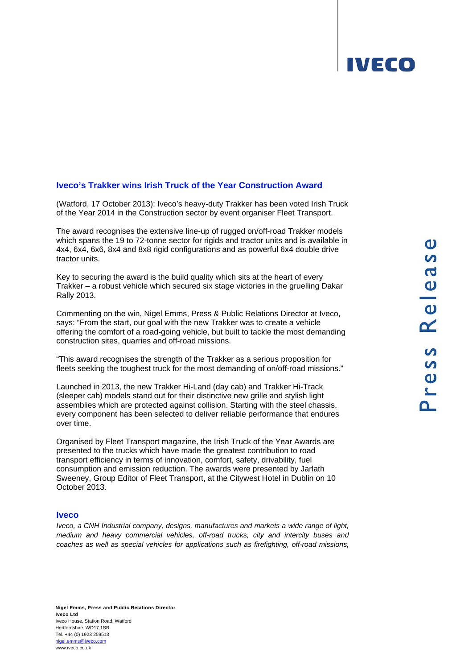## **IVECO**

## **Iveco's Trakker wins Irish Truck of the Year Construction Award**

(Watford, 17 October 2013): Iveco's heavy-duty Trakker has been voted Irish Truck of the Year 2014 in the Construction sector by event organiser Fleet Transport.

The award recognises the extensive line-up of rugged on/off-road Trakker models which spans the 19 to 72-tonne sector for rigids and tractor units and is available in 4x4, 6x4, 6x6, 8x4 and 8x8 rigid configurations and as powerful 6x4 double drive tractor units.

Key to securing the award is the build quality which sits at the heart of every Trakker – a robust vehicle which secured six stage victories in the gruelling Dakar Rally 2013.

Commenting on the win, Nigel Emms, Press & Public Relations Director at Iveco, says: "From the start, our goal with the new Trakker was to create a vehicle offering the comfort of a road-going vehicle, but built to tackle the most demanding construction sites, quarries and off-road missions.

"This award recognises the strength of the Trakker as a serious proposition for fleets seeking the toughest truck for the most demanding of on/off-road missions."

Launched in 2013, the new Trakker Hi-Land (day cab) and Trakker Hi-Track (sleeper cab) models stand out for their distinctive new grille and stylish light assemblies which are protected against collision. Starting with the steel chassis, every component has been selected to deliver reliable performance that endures over time.

Organised by Fleet Transport magazine, the Irish Truck of the Year Awards are presented to the trucks which have made the greatest contribution to road transport efficiency in terms of innovation, comfort, safety, drivability, fuel consumption and emission reduction. The awards were presented by Jarlath Sweeney, Group Editor of Fleet Transport, at the Citywest Hotel in Dublin on 10 October 2013.

## **Iveco**

*Iveco, a CNH Industrial company, designs, manufactures and markets a wide range of light, medium and heavy commercial vehicles, off-road trucks, city and intercity buses and coaches as well as special vehicles for applications such as firefighting, off-road missions,*